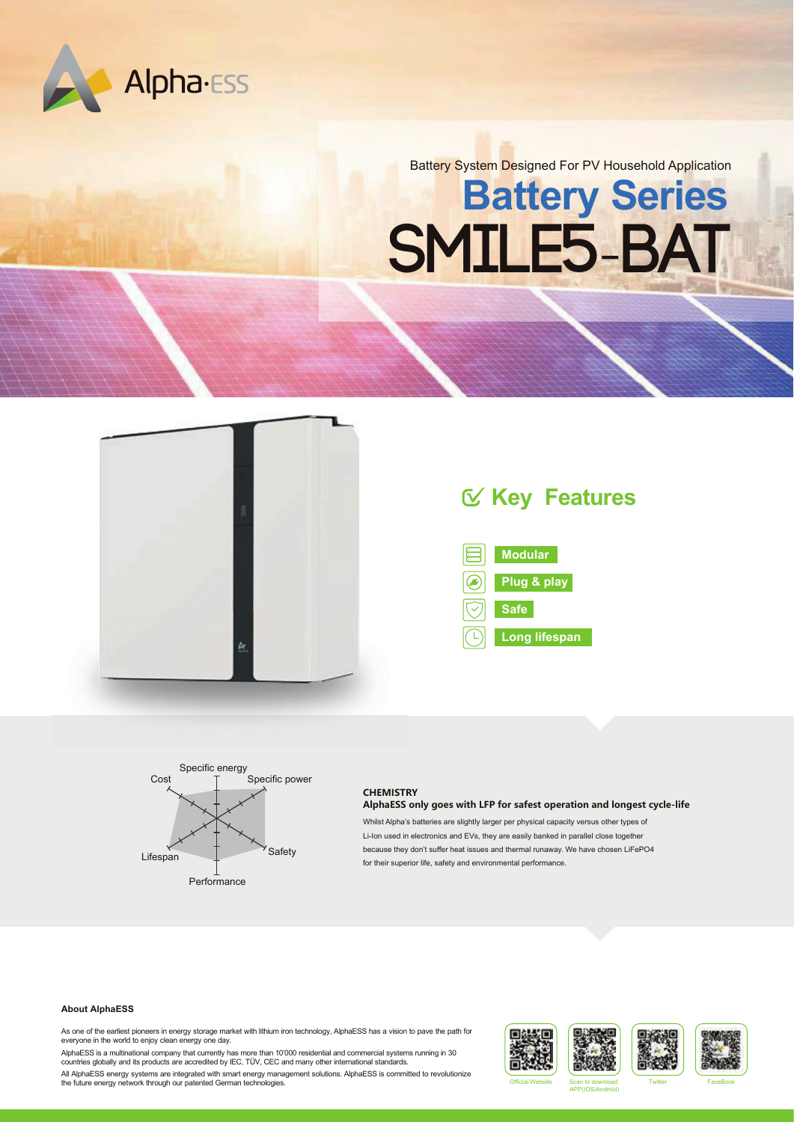

Battery System Designed For PV Household Application

# **Battery Series SMILE5**-**BAT**



# **Key Features**





#### **CHEMISTRY AlphaESS only goes with LFP for safest operation and longest cycle-life**

Whilst Alpha's batteries are slightly larger per physical capacity versus other types of Li-Ion used in electronics and EVs, they are easily banked in parallel close together because they don't suffer heat issues and thermal runaway. We have chosen LiFePO4 for their superior life, safety and environmental performance.

#### **About AlphaESS**

As one of the earliest pioneers in energy storage market with lithium iron technology, AlphaESS has a vision to pave the path for everyone in the world to enjoy clean energy one day.

AlphaESS is a multinational company that currently has more than 10'000 residential and commercial systems running in 30 countries globally and its products are accredited by IEC, TÜV, CEC and many other international standards.

All AlphaESS energy systems are integrated with smart energy management solutions. AlphaESS is committed to revolutionize<br>The future energy network through our patented German technologies. The solutions AlphaESS is commit





APP(IOS/Android)